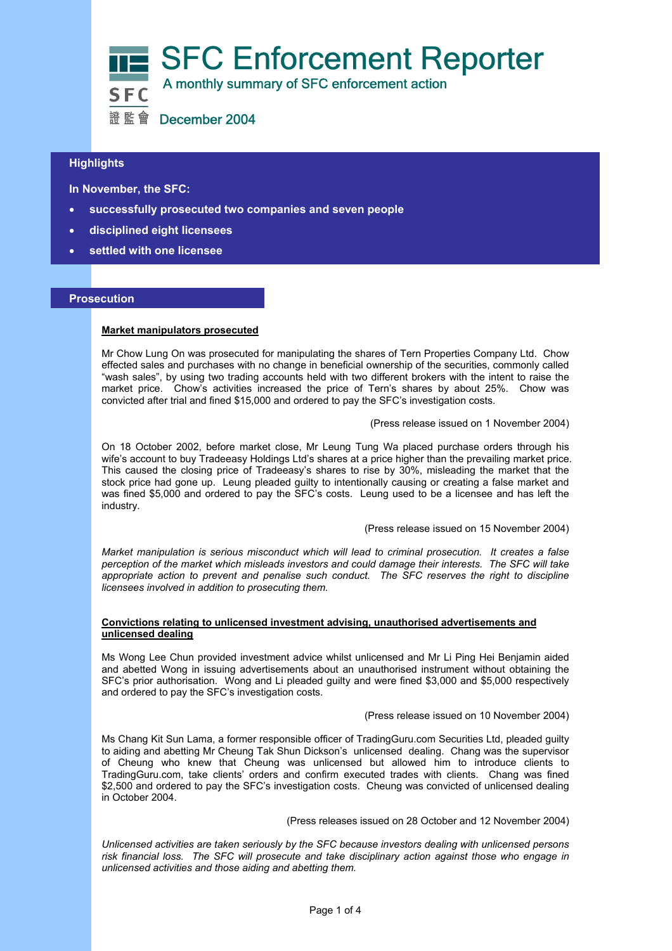

# **Highlights**

 **In November, the SFC:** 

- **successfully prosecuted two companies and seven people**
- **disciplined eight licensees**
- **settled with one licensee**

## **Prosecution**

#### **Market manipulators prosecuted**

Mr Chow Lung On was prosecuted for manipulating the shares of Tern Properties Company Ltd. Chow effected sales and purchases with no change in beneficial ownership of the securities, commonly called "wash sales", by using two trading accounts held with two different brokers with the intent to raise the market price. Chow's activities increased the price of Tern's shares by about 25%. Chow was convicted after trial and fined \$15,000 and ordered to pay the SFC's investigation costs.

(Press release issued on 1 November 2004)

On 18 October 2002, before market close, Mr Leung Tung Wa placed purchase orders through his wife's account to buy Tradeeasy Holdings Ltd's shares at a price higher than the prevailing market price. This caused the closing price of Tradeeasy's shares to rise by 30%, misleading the market that the stock price had gone up. Leung pleaded guilty to intentionally causing or creating a false market and was fined \$5,000 and ordered to pay the SFC's costs. Leung used to be a licensee and has left the industry.

(Press release issued on 15 November 2004)

*Market manipulation is serious misconduct which will lead to criminal prosecution. It creates a false perception of the market which misleads investors and could damage their interests. The SFC will take appropriate action to prevent and penalise such conduct. The SFC reserves the right to discipline licensees involved in addition to prosecuting them.* 

#### **Convictions relating to unlicensed investment advising, unauthorised advertisements and unlicensed dealing**

Ms Wong Lee Chun provided investment advice whilst unlicensed and Mr Li Ping Hei Benjamin aided and abetted Wong in issuing advertisements about an unauthorised instrument without obtaining the SFC's prior authorisation. Wong and Li pleaded guilty and were fined \$3,000 and \$5,000 respectively and ordered to pay the SFC's investigation costs.

(Press release issued on 10 November 2004)

Ms Chang Kit Sun Lama, a former responsible officer of TradingGuru.com Securities Ltd, pleaded guilty to aiding and abetting Mr Cheung Tak Shun Dickson's unlicensed dealing. Chang was the supervisor of Cheung who knew that Cheung was unlicensed but allowed him to introduce clients to TradingGuru.com, take clients' orders and confirm executed trades with clients. Chang was fined \$2,500 and ordered to pay the SFC's investigation costs. Cheung was convicted of unlicensed dealing in October 2004.

(Press releases issued on 28 October and 12 November 2004)

*Unlicensed activities are taken seriously by the SFC because investors dealing with unlicensed persons risk financial loss. The SFC will prosecute and take disciplinary action against those who engage in unlicensed activities and those aiding and abetting them.*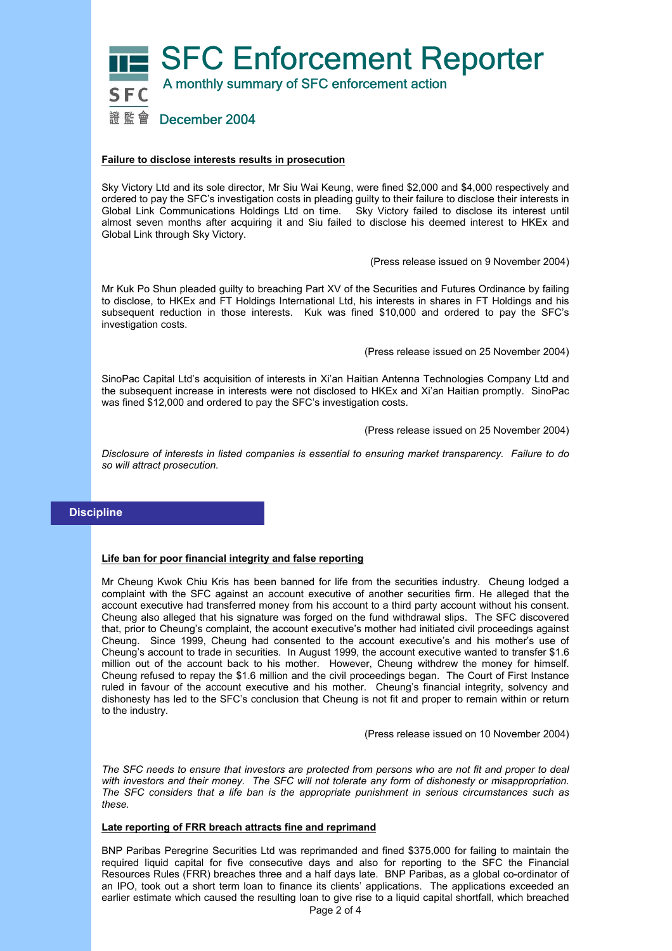

## **Failure to disclose interests results in prosecution**

Sky Victory Ltd and its sole director, Mr Siu Wai Keung, were fined \$2,000 and \$4,000 respectively and ordered to pay the SFC's investigation costs in pleading guilty to their failure to disclose their interests in Global Link Communications Holdings Ltd on time. Sky Victory failed to disclose its interest until almost seven months after acquiring it and Siu failed to disclose his deemed interest to HKEx and Global Link through Sky Victory.

(Press release issued on 9 November 2004)

Mr Kuk Po Shun pleaded guilty to breaching Part XV of the Securities and Futures Ordinance by failing to disclose, to HKEx and FT Holdings International Ltd, his interests in shares in FT Holdings and his subsequent reduction in those interests. Kuk was fined \$10,000 and ordered to pay the SFC's investigation costs.

(Press release issued on 25 November 2004)

SinoPac Capital Ltd's acquisition of interests in Xi'an Haitian Antenna Technologies Company Ltd and the subsequent increase in interests were not disclosed to HKEx and Xi'an Haitian promptly. SinoPac was fined \$12,000 and ordered to pay the SFC's investigation costs.

(Press release issued on 25 November 2004)

*Disclosure of interests in listed companies is essential to ensuring market transparency. Failure to do so will attract prosecution.* 

# **Discipline**

## **Life ban for poor financial integrity and false reporting**

Mr Cheung Kwok Chiu Kris has been banned for life from the securities industry. Cheung lodged a complaint with the SFC against an account executive of another securities firm. He alleged that the account executive had transferred money from his account to a third party account without his consent. Cheung also alleged that his signature was forged on the fund withdrawal slips. The SFC discovered that, prior to Cheung's complaint, the account executive's mother had initiated civil proceedings against Cheung. Since 1999, Cheung had consented to the account executive's and his mother's use of Cheung's account to trade in securities. In August 1999, the account executive wanted to transfer \$1.6 million out of the account back to his mother. However, Cheung withdrew the money for himself. Cheung refused to repay the \$1.6 million and the civil proceedings began. The Court of First Instance ruled in favour of the account executive and his mother. Cheung's financial integrity, solvency and dishonesty has led to the SFC's conclusion that Cheung is not fit and proper to remain within or return to the industry.

(Press release issued on 10 November 2004)

*The SFC needs to ensure that investors are protected from persons who are not fit and proper to deal with investors and their money. The SFC will not tolerate any form of dishonesty or misappropriation. The SFC considers that a life ban is the appropriate punishment in serious circumstances such as these.* 

## **Late reporting of FRR breach attracts fine and reprimand**

BNP Paribas Peregrine Securities Ltd was reprimanded and fined \$375,000 for failing to maintain the required liquid capital for five consecutive days and also for reporting to the SFC the Financial Resources Rules (FRR) breaches three and a half days late. BNP Paribas, as a global co-ordinator of an IPO, took out a short term loan to finance its clients' applications. The applications exceeded an earlier estimate which caused the resulting loan to give rise to a liquid capital shortfall, which breached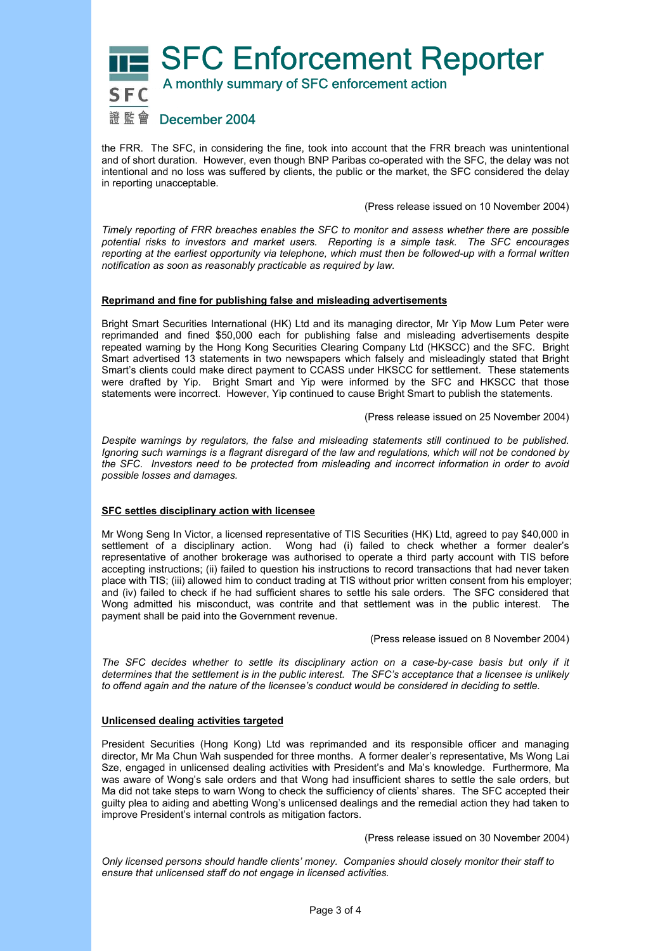

the FRR. The SFC, in considering the fine, took into account that the FRR breach was unintentional and of short duration. However, even though BNP Paribas co-operated with the SFC, the delay was not intentional and no loss was suffered by clients, the public or the market, the SFC considered the delay in reporting unacceptable.

(Press release issued on 10 November 2004)

*Timely reporting of FRR breaches enables the SFC to monitor and assess whether there are possible potential risks to investors and market users. Reporting is a simple task. The SFC encourages reporting at the earliest opportunity via telephone, which must then be followed-up with a formal written notification as soon as reasonably practicable as required by law.* 

## **Reprimand and fine for publishing false and misleading advertisements**

Bright Smart Securities International (HK) Ltd and its managing director, Mr Yip Mow Lum Peter were reprimanded and fined \$50,000 each for publishing false and misleading advertisements despite repeated warning by the Hong Kong Securities Clearing Company Ltd (HKSCC) and the SFC. Bright Smart advertised 13 statements in two newspapers which falsely and misleadingly stated that Bright Smart's clients could make direct payment to CCASS under HKSCC for settlement. These statements were drafted by Yip. Bright Smart and Yip were informed by the SFC and HKSCC that those statements were incorrect. However, Yip continued to cause Bright Smart to publish the statements.

(Press release issued on 25 November 2004)

*Despite warnings by regulators, the false and misleading statements still continued to be published. Ignoring such warnings is a flagrant disregard of the law and regulations, which will not be condoned by the SFC. Investors need to be protected from misleading and incorrect information in order to avoid possible losses and damages.* 

## **SFC settles disciplinary action with licensee**

Mr Wong Seng In Victor, a licensed representative of TIS Securities (HK) Ltd, agreed to pay \$40,000 in settlement of a disciplinary action. Wong had (i) failed to check whether a former dealer's representative of another brokerage was authorised to operate a third party account with TIS before accepting instructions; (ii) failed to question his instructions to record transactions that had never taken place with TIS; (iii) allowed him to conduct trading at TIS without prior written consent from his employer; and (iv) failed to check if he had sufficient shares to settle his sale orders. The SFC considered that Wong admitted his misconduct, was contrite and that settlement was in the public interest. The payment shall be paid into the Government revenue.

(Press release issued on 8 November 2004)

*The SFC decides whether to settle its disciplinary action on a case-by-case basis but only if it determines that the settlement is in the public interest. The SFC's acceptance that a licensee is unlikely to offend again and the nature of the licensee's conduct would be considered in deciding to settle.*

## **Unlicensed dealing activities targeted**

President Securities (Hong Kong) Ltd was reprimanded and its responsible officer and managing director, Mr Ma Chun Wah suspended for three months. A former dealer's representative, Ms Wong Lai Sze, engaged in unlicensed dealing activities with President's and Ma's knowledge. Furthermore, Ma was aware of Wong's sale orders and that Wong had insufficient shares to settle the sale orders, but Ma did not take steps to warn Wong to check the sufficiency of clients' shares. The SFC accepted their guilty plea to aiding and abetting Wong's unlicensed dealings and the remedial action they had taken to improve President's internal controls as mitigation factors.

(Press release issued on 30 November 2004)

*Only licensed persons should handle clients' money. Companies should closely monitor their staff to ensure that unlicensed staff do not engage in licensed activities.*